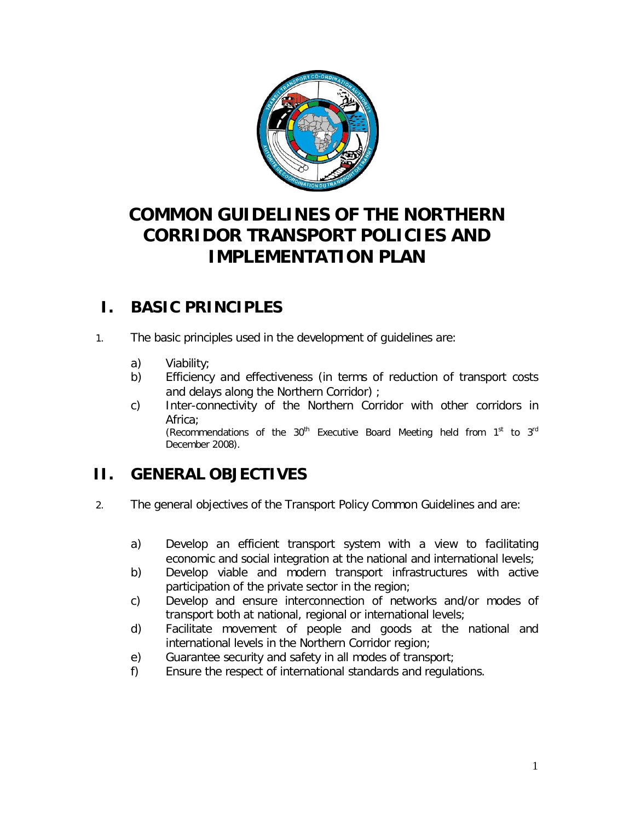

# **COMMON GUIDELINES OF THE NORTHERN CORRIDOR TRANSPORT POLICIES AND IMPLEMENTATION PLAN**

# **I. BASIC PRINCIPLES**

- 1. The basic principles used in the development of guidelines are:
	- a) Viability;
	- b) Efficiency and effectiveness (in terms of reduction of transport costs and delays along the Northern Corridor) ;
	- c) Inter-connectivity of the Northern Corridor with other corridors in Africa; *(Recommendations of the 30th Executive Board Meeting held from 1st to 3rd December 2008)*.

# **II. GENERAL OBJECTIVES**

- 2. The general objectives of the Transport Policy Common Guidelines and are:
	- a) Develop an efficient transport system with a view to facilitating economic and social integration at the national and international levels;
	- b) Develop viable and modern transport infrastructures with active participation of the private sector in the region;
	- c) Develop and ensure interconnection of networks and/or modes of transport both at national, regional or international levels;
	- d) Facilitate movement of people and goods at the national and international levels in the Northern Corridor region;
	- e) Guarantee security and safety in all modes of transport;
	- f) Ensure the respect of international standards and regulations.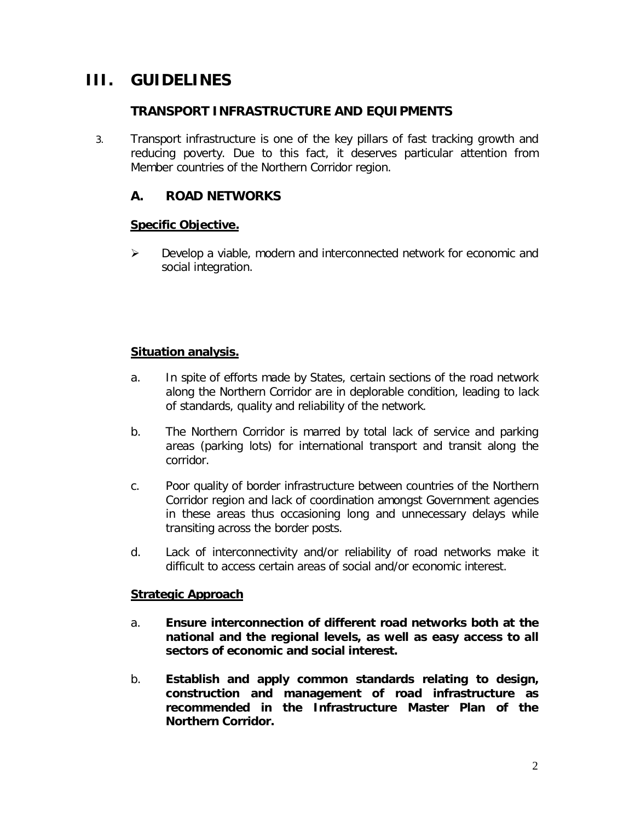# **III. GUIDELINES**

## *TRANSPORT INFRASTRUCTURE AND EQUIPMENTS*

3. Transport infrastructure is one of the key pillars of fast tracking growth and reducing poverty. Due to this fact, it deserves particular attention from Member countries of the Northern Corridor region.

## **A. ROAD NETWORKS**

#### *Specific Objective.*

 $\triangleright$  Develop a viable, modern and interconnected network for economic and social integration.

#### *Situation analysis.*

- a. In spite of efforts made by States, certain sections of the road network along the Northern Corridor are in deplorable condition, leading to lack of standards, quality and reliability of the network.
- b. The Northern Corridor is marred by total lack of service and parking areas (parking lots) for international transport and transit along the corridor.
- c. Poor quality of border infrastructure between countries of the Northern Corridor region and lack of coordination amongst Government agencies in these areas thus occasioning long and unnecessary delays while transiting across the border posts.
- d. Lack of interconnectivity and/or reliability of road networks make it difficult to access certain areas of social and/or economic interest.

#### *Strategic Approach*

- a. **Ensure interconnection of different road networks both at the national and the regional levels, as well as easy access to all sectors of economic and social interest.**
- b. **Establish and apply common standards relating to design, construction and management of road infrastructure as recommended in the Infrastructure Master Plan of the Northern Corridor.**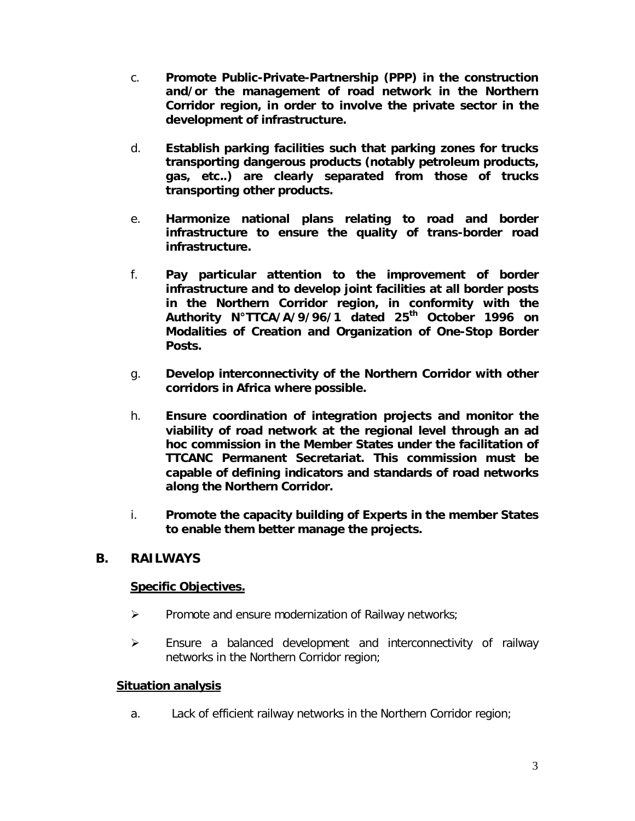- c. **Promote Public-Private-Partnership (PPP) in the construction and/or the management of road network in the Northern Corridor region, in order to involve the private sector in the development of infrastructure.**
- d. **Establish parking facilities such that parking zones for trucks transporting dangerous products (notably petroleum products, gas, etc..) are clearly separated from those of trucks transporting other products.**
- e. **Harmonize national plans relating to road and border infrastructure to ensure the quality of trans-border road infrastructure.**
- f. **Pay particular attention to the improvement of border infrastructure and to develop joint facilities at all border posts in the Northern Corridor region, in conformity with the Authority N°TTCA/A/9/96/1 dated 25th October 1996 on Modalities of Creation and Organization of One-Stop Border Posts.**
- g. **Develop interconnectivity of the Northern Corridor with other corridors in Africa where possible.**
- h. **Ensure coordination of integration projects and monitor the viability of road network at the regional level through an ad hoc commission in the Member States under the facilitation of TTCANC Permanent Secretariat. This commission must be capable of defining indicators and standards of road networks along the Northern Corridor.**
- i. **Promote the capacity building of Experts in the member States to enable them better manage the projects.**

### **B. RAILWAYS**

### *Specific Objectives.*

- $\triangleright$  Promote and ensure modernization of Railway networks;
- $\triangleright$  Ensure a balanced development and interconnectivity of railway networks in the Northern Corridor region;

#### *Situation analysis*

a. Lack of efficient railway networks in the Northern Corridor region;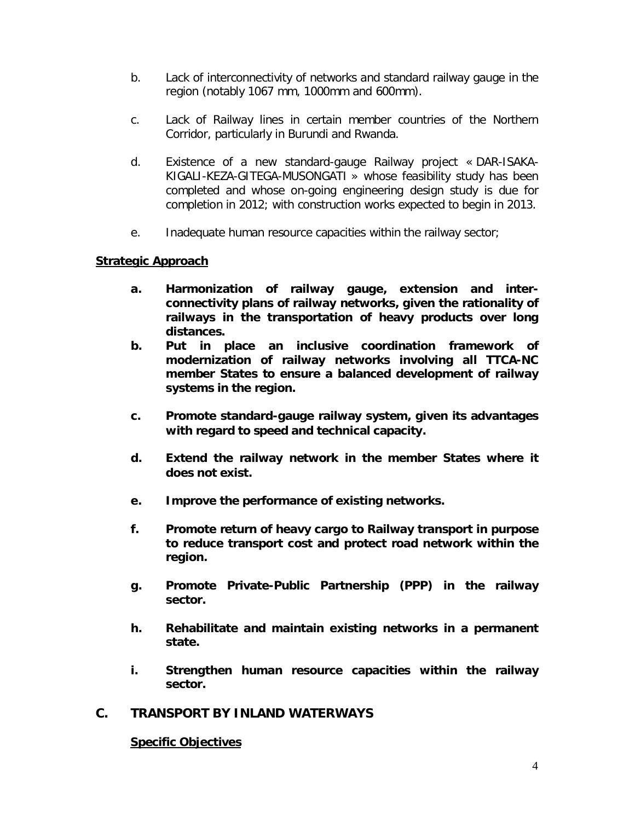- b. Lack of interconnectivity of networks and standard railway gauge in the region (notably 1067 mm, 1000mm and 600mm).
- c. Lack of Railway lines in certain member countries of the Northern Corridor, particularly in Burundi and Rwanda.
- d. Existence of a new standard-gauge Railway project « DAR-ISAKA-KIGALI-KEZA-GITEGA-MUSONGATI » whose feasibility study has been completed and whose on-going engineering design study is due for completion in 2012; with construction works expected to begin in 2013.
- e. Inadequate human resource capacities within the railway sector;

### *Strategic Approach*

- **a. Harmonization of railway gauge, extension and interconnectivity plans of railway networks, given the rationality of railways in the transportation of heavy products over long distances.**
- **b. Put in place an inclusive coordination framework of modernization of railway networks involving all TTCA-NC member States to ensure a balanced development of railway systems in the region.**
- **c. Promote standard-gauge railway system, given its advantages with regard to speed and technical capacity.**
- **d. Extend the railway network in the member States where it does not exist.**
- **e. Improve the performance of existing networks.**
- **f. Promote return of heavy cargo to Railway transport in purpose to reduce transport cost and protect road network within the region.**
- **g. Promote Private-Public Partnership (PPP) in the railway sector.**
- **h. Rehabilitate and maintain existing networks in a permanent state.**
- **i. Strengthen human resource capacities within the railway sector.**

### **C. TRANSPORT BY INLAND WATERWAYS**

#### *Specific Objectives*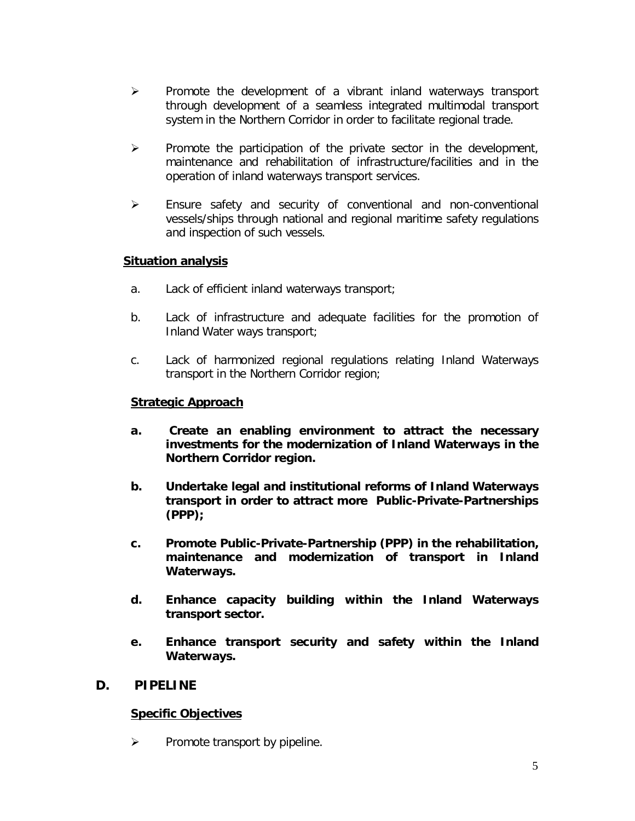- $\triangleright$  Promote the development of a vibrant inland waterways transport through development of a seamless integrated multimodal transport system in the Northern Corridor in order to facilitate regional trade.
- $\triangleright$  Promote the participation of the private sector in the development, maintenance and rehabilitation of infrastructure/facilities and in the operation of inland waterways transport services.
- Ensure safety and security of conventional and non-conventional vessels/ships through national and regional maritime safety regulations and inspection of such vessels.

#### *Situation analysis*

- a. Lack of efficient inland waterways transport;
- b. Lack of infrastructure and adequate facilities for the promotion of Inland Water ways transport;
- c. Lack of harmonized regional regulations relating Inland Waterways transport in the Northern Corridor region;

#### *Strategic Approach*

- **a. Create an enabling environment to attract the necessary investments for the modernization of Inland Waterways in the Northern Corridor region.**
- **b. Undertake legal and institutional reforms of Inland Waterways transport in order to attract more Public-Private-Partnerships (PPP);**
- **c. Promote Public-Private-Partnership (PPP) in the rehabilitation, maintenance and modernization of transport in Inland Waterways.**
- **d. Enhance capacity building within the Inland Waterways transport sector.**
- **e. Enhance transport security and safety within the Inland Waterways.**

### **D. PIPELINE**

#### *Specific Objectives*

 $\triangleright$  Promote transport by pipeline.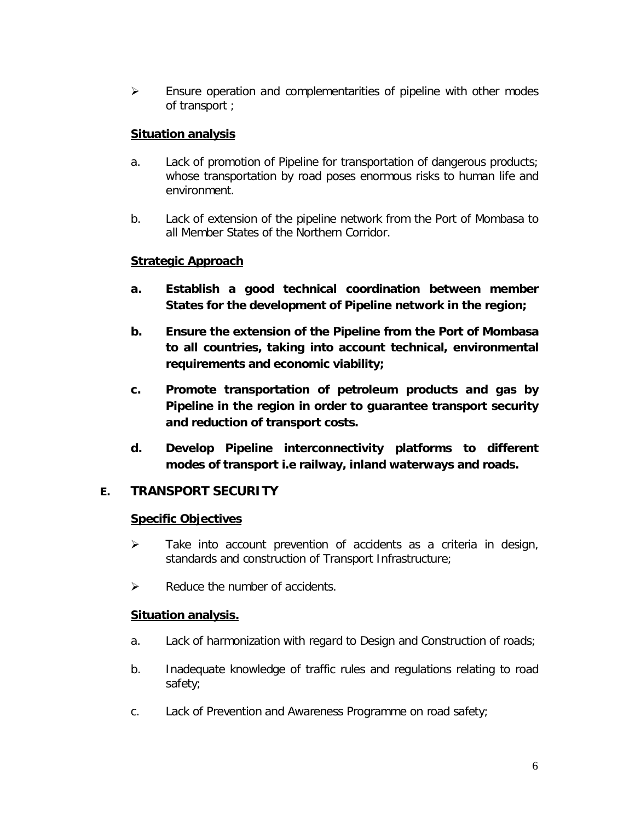$\triangleright$  Ensure operation and complementarities of pipeline with other modes of transport ;

### *Situation analysis*

- a. Lack of promotion of Pipeline for transportation of dangerous products; whose transportation by road poses enormous risks to human life and environment.
- b. Lack of extension of the pipeline network from the Port of Mombasa to all Member States of the Northern Corridor.

### *Strategic Approach*

- **a. Establish a good technical coordination between member States for the development of Pipeline network in the region;**
- **b. Ensure the extension of the Pipeline from the Port of Mombasa to all countries, taking into account technical, environmental requirements and economic viability;**
- **c. Promote transportation of petroleum products and gas by Pipeline in the region in order to guarantee transport security and reduction of transport costs.**
- **d. Develop Pipeline interconnectivity platforms to different modes of transport i.e railway, inland waterways and roads.**

## **E. TRANSPORT SECURITY**

### *Specific Objectives*

- $\triangleright$  Take into account prevention of accidents as a criteria in design, standards and construction of Transport Infrastructure;
- $\triangleright$  Reduce the number of accidents.

### *Situation analysis.*

- a. Lack of harmonization with regard to Design and Construction of roads;
- b. Inadequate knowledge of traffic rules and regulations relating to road safety;
- c. Lack of Prevention and Awareness Programme on road safety;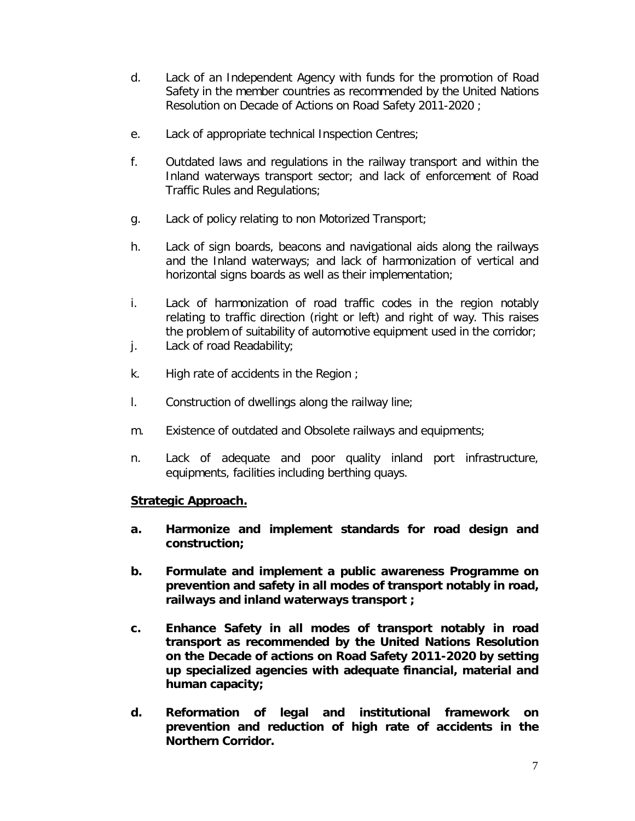- d. Lack of an Independent Agency with funds for the promotion of Road Safety in the member countries as recommended by the United Nations Resolution on Decade of Actions on Road Safety 2011-2020 ;
- e. Lack of appropriate technical Inspection Centres;
- f. Outdated laws and regulations in the railway transport and within the Inland waterways transport sector; and lack of enforcement of Road Traffic Rules and Regulations;
- g. Lack of policy relating to non Motorized Transport;
- h. Lack of sign boards, beacons and navigational aids along the railways and the Inland waterways; and lack of harmonization of vertical and horizontal signs boards as well as their implementation;
- i. Lack of harmonization of road traffic codes in the region notably relating to traffic direction (right or left) and right of way. This raises the problem of suitability of automotive equipment used in the corridor;
- j. Lack of road Readability;
- k. High rate of accidents in the Region ;
- l. Construction of dwellings along the railway line;
- m. Existence of outdated and Obsolete railways and equipments;
- n. Lack of adequate and poor quality inland port infrastructure, equipments, facilities including berthing quays.

#### *Strategic Approach.*

- **a. Harmonize and implement standards for road design and construction;**
- **b. Formulate and implement a public awareness Programme on prevention and safety in all modes of transport notably in road, railways and inland waterways transport ;**
- **c. Enhance Safety in all modes of transport notably in road transport as recommended by the United Nations Resolution on the Decade of actions on Road Safety 2011-2020 by setting up specialized agencies with adequate financial, material and human capacity;**
- **d. Reformation of legal and institutional framework on prevention and reduction of high rate of accidents in the Northern Corridor.**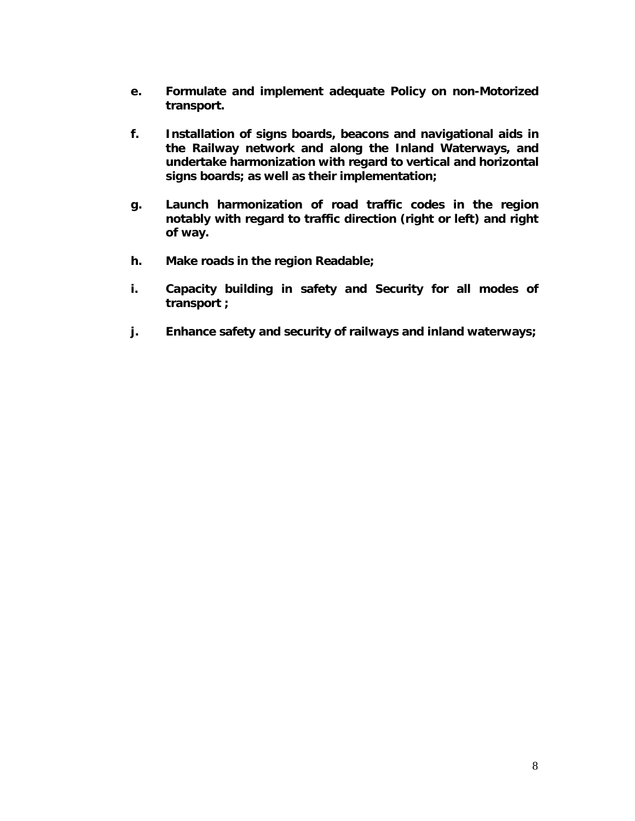- **e. Formulate and implement adequate Policy on non-Motorized transport.**
- **f. Installation of signs boards, beacons and navigational aids in the Railway network and along the Inland Waterways, and undertake harmonization with regard to vertical and horizontal signs boards; as well as their implementation;**
- **g. Launch harmonization of road traffic codes in the region notably with regard to traffic direction (right or left) and right of way.**
- **h. Make roads in the region Readable;**
- **i. Capacity building in safety and Security for all modes of transport ;**
- **j. Enhance safety and security of railways and inland waterways;**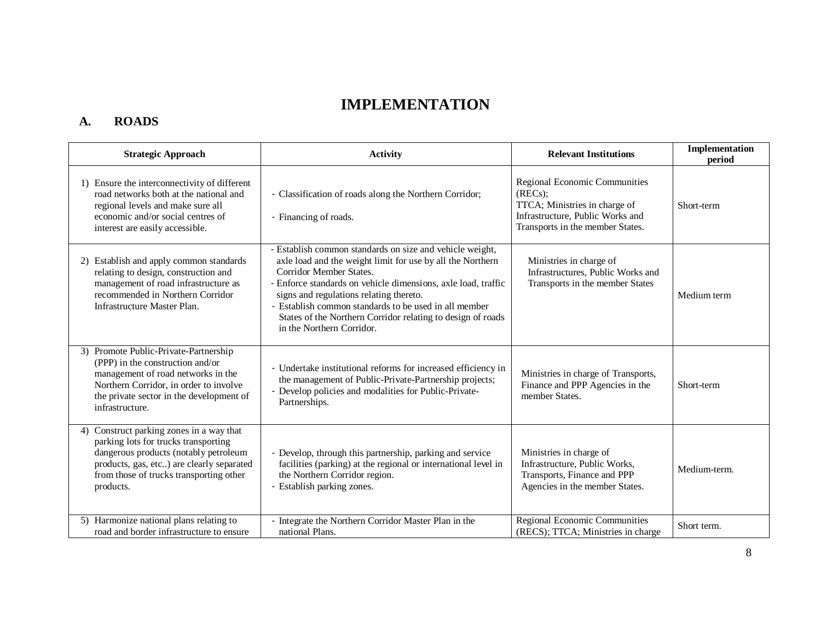# **IMPLEMENTATION**

# **A. ROADS**

| <b>Strategic Approach</b>                                                                                                                                                                                                         | <b>Activity</b>                                                                                                                                                                                                                                                                                                                                                                                                    | <b>Relevant Institutions</b>                                                                                                                     | Implementation<br>period |
|-----------------------------------------------------------------------------------------------------------------------------------------------------------------------------------------------------------------------------------|--------------------------------------------------------------------------------------------------------------------------------------------------------------------------------------------------------------------------------------------------------------------------------------------------------------------------------------------------------------------------------------------------------------------|--------------------------------------------------------------------------------------------------------------------------------------------------|--------------------------|
| 1) Ensure the interconnectivity of different<br>road networks both at the national and<br>regional levels and make sure all<br>economic and/or social centres of<br>interest are easily accessible.                               | - Classification of roads along the Northern Corridor;<br>- Financing of roads.                                                                                                                                                                                                                                                                                                                                    | Regional Economic Communities<br>(REG);<br>TTCA; Ministries in charge of<br>Infrastructure, Public Works and<br>Transports in the member States. | Short-term               |
| 2) Establish and apply common standards<br>relating to design, construction and<br>management of road infrastructure as<br>recommended in Northern Corridor<br>Infrastructure Master Plan.                                        | - Establish common standards on size and vehicle weight,<br>axle load and the weight limit for use by all the Northern<br>Corridor Member States.<br>- Enforce standards on vehicle dimensions, axle load, traffic<br>signs and regulations relating thereto.<br>- Establish common standards to be used in all member<br>States of the Northern Corridor relating to design of roads<br>in the Northern Corridor. | Ministries in charge of<br>Infrastructures, Public Works and<br>Transports in the member States                                                  | Medium term              |
| 3) Promote Public-Private-Partnership<br>(PPP) in the construction and/or<br>management of road networks in the<br>Northern Corridor, in order to involve<br>the private sector in the development of<br>infrastructure.          | - Undertake institutional reforms for increased efficiency in<br>the management of Public-Private-Partnership projects;<br>- Develop policies and modalities for Public-Private-<br>Partnerships.                                                                                                                                                                                                                  | Ministries in charge of Transports,<br>Finance and PPP Agencies in the<br>member States.                                                         | Short-term               |
| Construct parking zones in a way that<br>4)<br>parking lots for trucks transporting<br>dangerous products (notably petroleum<br>products, gas, etc) are clearly separated<br>from those of trucks transporting other<br>products. | - Develop, through this partnership, parking and service<br>facilities (parking) at the regional or international level in<br>the Northern Corridor region.<br>- Establish parking zones.                                                                                                                                                                                                                          | Ministries in charge of<br>Infrastructure, Public Works,<br>Transports, Finance and PPP<br>Agencies in the member States.                        | Medium-term.             |
| 5) Harmonize national plans relating to<br>road and border infrastructure to ensure                                                                                                                                               | Integrate the Northern Corridor Master Plan in the<br>national Plans.                                                                                                                                                                                                                                                                                                                                              | <b>Regional Economic Communities</b><br>(RECS); TTCA; Ministries in charge                                                                       | Short term.              |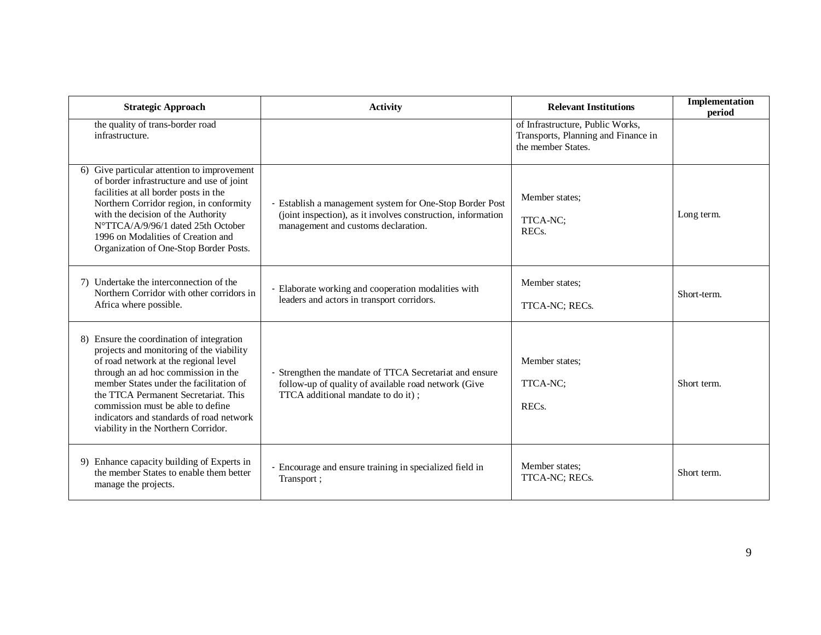| <b>Strategic Approach</b>                                                                                                                                                                                                                                                                                                                                                        | <b>Activity</b>                                                                                                                                                 | <b>Relevant Institutions</b>                                                                  | <b>Implementation</b><br>period |
|----------------------------------------------------------------------------------------------------------------------------------------------------------------------------------------------------------------------------------------------------------------------------------------------------------------------------------------------------------------------------------|-----------------------------------------------------------------------------------------------------------------------------------------------------------------|-----------------------------------------------------------------------------------------------|---------------------------------|
| the quality of trans-border road<br>infrastructure.                                                                                                                                                                                                                                                                                                                              |                                                                                                                                                                 | of Infrastructure, Public Works,<br>Transports, Planning and Finance in<br>the member States. |                                 |
| 6) Give particular attention to improvement<br>of border infrastructure and use of joint<br>facilities at all border posts in the<br>Northern Corridor region, in conformity<br>with the decision of the Authority<br>N°TTCA/A/9/96/1 dated 25th October<br>1996 on Modalities of Creation and<br>Organization of One-Stop Border Posts.                                         | - Establish a management system for One-Stop Border Post<br>(joint inspection), as it involves construction, information<br>management and customs declaration. | Member states:<br>TTCA-NC;<br>REC <sub>s</sub> .                                              | Long term.                      |
| 7) Undertake the interconnection of the<br>Northern Corridor with other corridors in<br>Africa where possible.                                                                                                                                                                                                                                                                   | - Elaborate working and cooperation modalities with<br>leaders and actors in transport corridors.                                                               | Member states:<br>TTCA-NC; RECs.                                                              | Short-term.                     |
| 8) Ensure the coordination of integration<br>projects and monitoring of the viability<br>of road network at the regional level<br>through an ad hoc commission in the<br>member States under the facilitation of<br>the TTCA Permanent Secretariat. This<br>commission must be able to define<br>indicators and standards of road network<br>viability in the Northern Corridor. | Strengthen the mandate of TTCA Secretariat and ensure<br>follow-up of quality of available road network (Give<br>TTCA additional mandate to do it);             | Member states:<br>TTCA-NC;<br>REC <sub>s</sub> .                                              | Short term.                     |
| 9) Enhance capacity building of Experts in<br>the member States to enable them better<br>manage the projects.                                                                                                                                                                                                                                                                    | - Encourage and ensure training in specialized field in<br>Transport;                                                                                           | Member states:<br>TTCA-NC; RECs.                                                              | Short term.                     |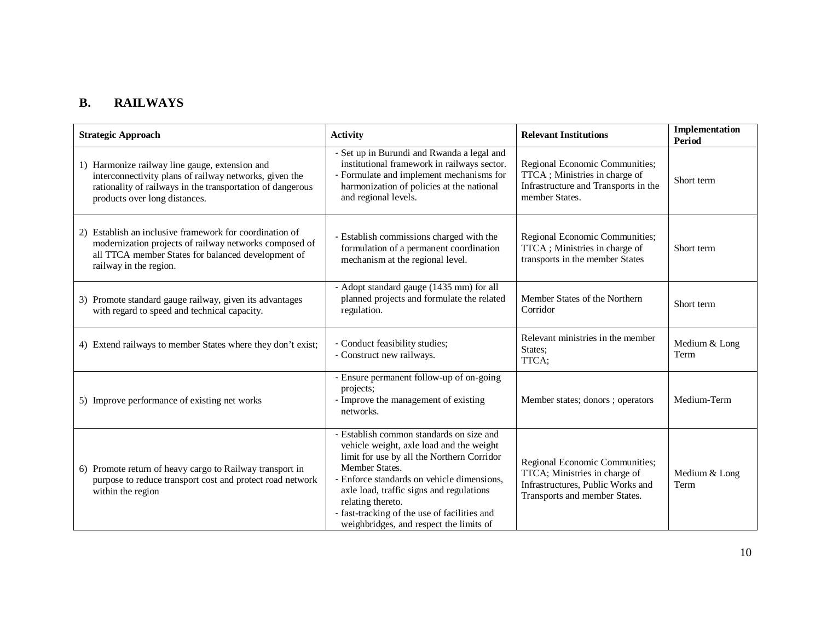# **B. RAILWAYS**

| <b>Strategic Approach</b>                                                                                                                                                                               | <b>Activity</b>                                                                                                                                                                                                                                                                                                                                                | <b>Relevant Institutions</b>                                                                                                          | <b>Implementation</b><br>Period |
|---------------------------------------------------------------------------------------------------------------------------------------------------------------------------------------------------------|----------------------------------------------------------------------------------------------------------------------------------------------------------------------------------------------------------------------------------------------------------------------------------------------------------------------------------------------------------------|---------------------------------------------------------------------------------------------------------------------------------------|---------------------------------|
| 1) Harmonize railway line gauge, extension and<br>interconnectivity plans of railway networks, given the<br>rationality of railways in the transportation of dangerous<br>products over long distances. | - Set up in Burundi and Rwanda a legal and<br>institutional framework in railways sector.<br>- Formulate and implement mechanisms for<br>harmonization of policies at the national<br>and regional levels.                                                                                                                                                     | Regional Economic Communities;<br>TTCA; Ministries in charge of<br>Infrastructure and Transports in the<br>member States.             | Short term                      |
| 2) Establish an inclusive framework for coordination of<br>modernization projects of railway networks composed of<br>all TTCA member States for balanced development of<br>railway in the region.       | - Establish commissions charged with the<br>formulation of a permanent coordination<br>mechanism at the regional level.                                                                                                                                                                                                                                        | Regional Economic Communities;<br>TTCA; Ministries in charge of<br>transports in the member States                                    | Short term                      |
| 3) Promote standard gauge railway, given its advantages<br>with regard to speed and technical capacity.                                                                                                 | - Adopt standard gauge (1435 mm) for all<br>planned projects and formulate the related<br>regulation.                                                                                                                                                                                                                                                          | Member States of the Northern<br>Corridor                                                                                             | Short term                      |
| 4) Extend railways to member States where they don't exist;                                                                                                                                             | - Conduct feasibility studies;<br>- Construct new railways.                                                                                                                                                                                                                                                                                                    | Relevant ministries in the member<br>States;<br>TTCA;                                                                                 | Medium & Long<br>Term           |
| 5) Improve performance of existing net works                                                                                                                                                            | - Ensure permanent follow-up of on-going<br>projects;<br>- Improve the management of existing<br>networks.                                                                                                                                                                                                                                                     | Member states; donors ; operators                                                                                                     | Medium-Term                     |
| 6) Promote return of heavy cargo to Railway transport in<br>purpose to reduce transport cost and protect road network<br>within the region                                                              | - Establish common standards on size and<br>vehicle weight, axle load and the weight<br>limit for use by all the Northern Corridor<br>Member States.<br>- Enforce standards on vehicle dimensions,<br>axle load, traffic signs and regulations<br>relating thereto.<br>- fast-tracking of the use of facilities and<br>weighbridges, and respect the limits of | Regional Economic Communities;<br>TTCA; Ministries in charge of<br>Infrastructures, Public Works and<br>Transports and member States. | Medium & Long<br>Term           |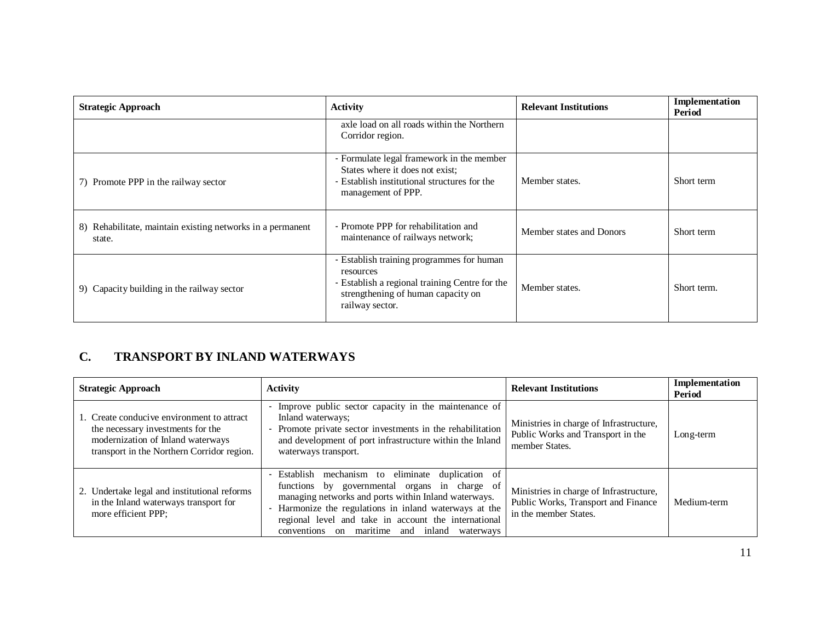| <b>Strategic Approach</b>                                               | <b>Activity</b>                                                                                                                                                   | <b>Relevant Institutions</b> | Implementation<br>Period |
|-------------------------------------------------------------------------|-------------------------------------------------------------------------------------------------------------------------------------------------------------------|------------------------------|--------------------------|
|                                                                         | axle load on all roads within the Northern<br>Corridor region.                                                                                                    |                              |                          |
| 7) Promote PPP in the railway sector                                    | - Formulate legal framework in the member<br>States where it does not exist;<br>- Establish institutional structures for the<br>management of PPP.                | Member states.               | Short term               |
| Rehabilitate, maintain existing networks in a permanent<br>8)<br>state. | - Promote PPP for rehabilitation and<br>maintenance of railways network;                                                                                          | Member states and Donors     | Short term               |
| 9) Capacity building in the railway sector                              | - Establish training programmes for human<br>resources<br>- Establish a regional training Centre for the<br>strengthening of human capacity on<br>railway sector. | Member states.               | Short term.              |

# **C. TRANSPORT BY INLAND WATERWAYS**

| <b>Strategic Approach</b>                                                                                                                                          | Activity                                                                                                                                                                                                                                                                                                                    | <b>Relevant Institutions</b>                                                                            | Implementation<br>Period |
|--------------------------------------------------------------------------------------------------------------------------------------------------------------------|-----------------------------------------------------------------------------------------------------------------------------------------------------------------------------------------------------------------------------------------------------------------------------------------------------------------------------|---------------------------------------------------------------------------------------------------------|--------------------------|
| 1. Create conducive environment to attract<br>the necessary investments for the<br>modernization of Inland waterways<br>transport in the Northern Corridor region. | Improve public sector capacity in the maintenance of<br>Inland waterways;<br>Promote private sector investments in the rehabilitation<br>and development of port infrastructure within the Inland<br>waterways transport.                                                                                                   | Ministries in charge of Infrastructure,<br>Public Works and Transport in the<br>member States.          | Long-term                |
| 2. Undertake legal and institutional reforms<br>in the Inland waterways transport for<br>more efficient PPP;                                                       | Establish mechanism to eliminate duplication of<br>functions by governmental organs in charge of<br>managing networks and ports within Inland waterways.<br>Harmonize the regulations in inland waterways at the<br>regional level and take in account the international<br>on maritime and inland waterways<br>conventions | Ministries in charge of Infrastructure,<br>Public Works, Transport and Finance<br>in the member States. | Medium-term              |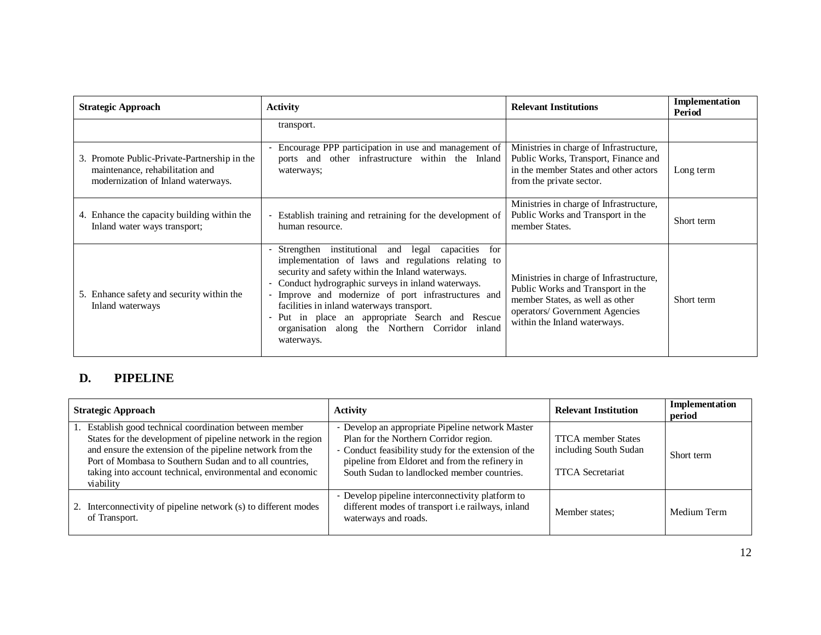| <b>Strategic Approach</b>                                                                                             | <b>Activity</b>                                                                                                                                                                                                                                                                                                                                                                                                                         | <b>Relevant Institutions</b>                                                                                                                                                      | Implementation<br>Period |
|-----------------------------------------------------------------------------------------------------------------------|-----------------------------------------------------------------------------------------------------------------------------------------------------------------------------------------------------------------------------------------------------------------------------------------------------------------------------------------------------------------------------------------------------------------------------------------|-----------------------------------------------------------------------------------------------------------------------------------------------------------------------------------|--------------------------|
|                                                                                                                       | transport.                                                                                                                                                                                                                                                                                                                                                                                                                              |                                                                                                                                                                                   |                          |
| 3. Promote Public-Private-Partnership in the<br>maintenance, rehabilitation and<br>modernization of Inland waterways. | Encourage PPP participation in use and management of<br>ports and other infrastructure within the Inland<br>waterways;                                                                                                                                                                                                                                                                                                                  | Ministries in charge of Infrastructure,<br>Public Works, Transport, Finance and<br>in the member States and other actors<br>from the private sector.                              | Long term                |
| 4. Enhance the capacity building within the<br>Inland water ways transport;                                           | Establish training and retraining for the development of<br>human resource.                                                                                                                                                                                                                                                                                                                                                             | Ministries in charge of Infrastructure,<br>Public Works and Transport in the<br>member States.                                                                                    | Short term               |
| 5. Enhance safety and security within the<br>Inland waterways                                                         | Strengthen institutional and legal capacities<br>for<br>implementation of laws and regulations relating to<br>security and safety within the Inland waterways.<br>Conduct hydrographic surveys in inland waterways.<br>Improve and modernize of port infrastructures and<br>facilities in inland waterways transport.<br>Put in place an appropriate Search and Rescue<br>organisation along the Northern Corridor inland<br>waterways. | Ministries in charge of Infrastructure,<br>Public Works and Transport in the<br>member States, as well as other<br>operators/ Government Agencies<br>within the Inland waterways. | Short term               |

# **D. PIPELINE**

| <b>Strategic Approach</b>                                                                                                                                                                                                                                                                                                | <b>Activity</b>                                                                                                                                                                                                                                   | <b>Relevant Institution</b>                                                   | Implementation<br>period |
|--------------------------------------------------------------------------------------------------------------------------------------------------------------------------------------------------------------------------------------------------------------------------------------------------------------------------|---------------------------------------------------------------------------------------------------------------------------------------------------------------------------------------------------------------------------------------------------|-------------------------------------------------------------------------------|--------------------------|
| . Establish good technical coordination between member<br>States for the development of pipeline network in the region<br>and ensure the extension of the pipeline network from the<br>Port of Mombasa to Southern Sudan and to all countries,<br>taking into account technical, environmental and economic<br>viability | - Develop an appropriate Pipeline network Master<br>Plan for the Northern Corridor region.<br>Conduct feasibility study for the extension of the<br>pipeline from Eldoret and from the refinery in<br>South Sudan to landlocked member countries. | <b>TTCA</b> member States<br>including South Sudan<br><b>TTCA</b> Secretariat | Short term               |
| 2. Interconnectivity of pipeline network (s) to different modes<br>of Transport.                                                                                                                                                                                                                                         | - Develop pipeline interconnectivity platform to<br>different modes of transport i.e railways, inland<br>waterways and roads.                                                                                                                     | Member states:                                                                | Medium Term              |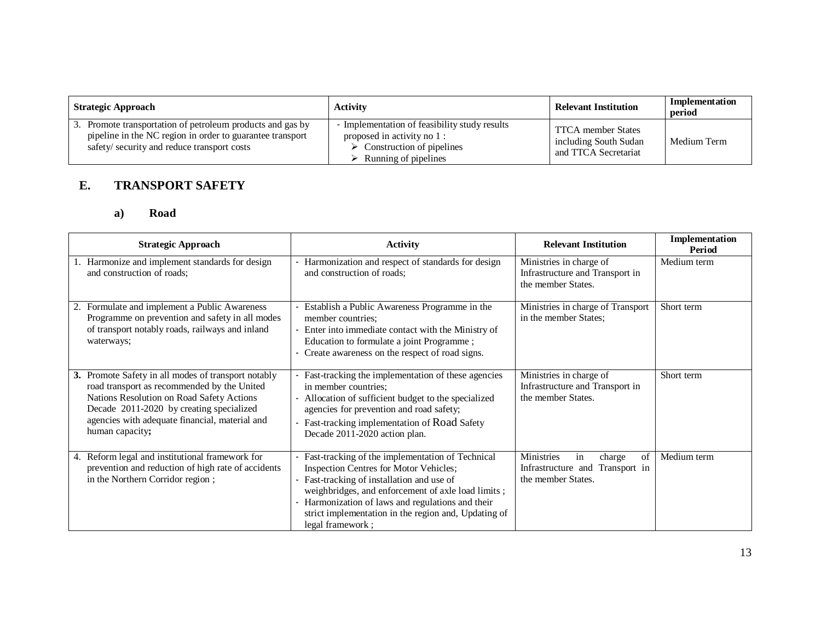| <b>Strategic Approach</b>                                                                                                                                             | <b>Activity</b>                                                                                                                                   | <b>Relevant Institution</b>                                                | Implementation<br>period |
|-----------------------------------------------------------------------------------------------------------------------------------------------------------------------|---------------------------------------------------------------------------------------------------------------------------------------------------|----------------------------------------------------------------------------|--------------------------|
| 3. Promote transportation of petroleum products and gas by<br>pipeline in the NC region in order to guarantee transport<br>safety/security and reduce transport costs | - Implementation of feasibility study results<br>proposed in activity no 1:<br>$\triangleright$ Construction of pipelines<br>Running of pipelines | <b>TTCA</b> member States<br>including South Sudan<br>and TTCA Secretariat | Medium Term              |

## **E. TRANSPORT SAFETY**

### **a) Road**

|    | <b>Strategic Approach</b>                                                                                                                                                                                                                                        | <b>Activity</b>                                                                                                                                                                                                                                                                                                                    | <b>Relevant Institution</b>                                                               | Implementation<br>Period |
|----|------------------------------------------------------------------------------------------------------------------------------------------------------------------------------------------------------------------------------------------------------------------|------------------------------------------------------------------------------------------------------------------------------------------------------------------------------------------------------------------------------------------------------------------------------------------------------------------------------------|-------------------------------------------------------------------------------------------|--------------------------|
|    | Harmonize and implement standards for design<br>and construction of roads;                                                                                                                                                                                       | Harmonization and respect of standards for design<br>and construction of roads:                                                                                                                                                                                                                                                    | Ministries in charge of<br>Infrastructure and Transport in<br>the member States.          | Medium term              |
|    | Formulate and implement a Public Awareness<br>Programme on prevention and safety in all modes<br>of transport notably roads, railways and inland<br>waterways;                                                                                                   | Establish a Public Awareness Programme in the<br>member countries;<br>Enter into immediate contact with the Ministry of<br>Education to formulate a joint Programme;<br>Create awareness on the respect of road signs.                                                                                                             | Ministries in charge of Transport<br>in the member States;                                | Short term               |
|    | 3. Promote Safety in all modes of transport notably<br>road transport as recommended by the United<br>Nations Resolution on Road Safety Actions<br>Decade 2011-2020 by creating specialized<br>agencies with adequate financial, material and<br>human capacity; | Fast-tracking the implementation of these agencies<br>in member countries;<br>Allocation of sufficient budget to the specialized<br>agencies for prevention and road safety;<br>Fast-tracking implementation of Road Safety<br>Decade 2011-2020 action plan.                                                                       | Ministries in charge of<br>Infrastructure and Transport in<br>the member States.          | Short term               |
| 4. | Reform legal and institutional framework for<br>prevention and reduction of high rate of accidents<br>in the Northern Corridor region;                                                                                                                           | Fast-tracking of the implementation of Technical<br><b>Inspection Centres for Motor Vehicles;</b><br>Fast-tracking of installation and use of<br>weighbridges, and enforcement of axle load limits;<br>Harmonization of laws and regulations and their<br>strict implementation in the region and, Updating of<br>legal framework; | Ministries<br>of<br>charge<br>in<br>Infrastructure and Transport in<br>the member States. | Medium term              |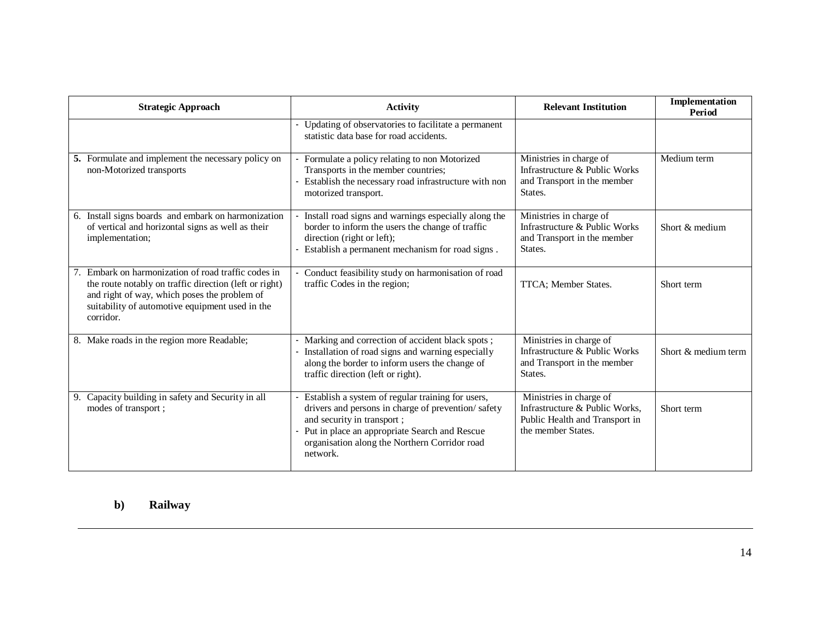|    | <b>Strategic Approach</b>                                                                                                                                                                                                  | <b>Activity</b>                                                                                                                                                                                                                                     | <b>Relevant Institution</b>                                                                                       | Implementation<br>Period |
|----|----------------------------------------------------------------------------------------------------------------------------------------------------------------------------------------------------------------------------|-----------------------------------------------------------------------------------------------------------------------------------------------------------------------------------------------------------------------------------------------------|-------------------------------------------------------------------------------------------------------------------|--------------------------|
|    |                                                                                                                                                                                                                            | Updating of observatories to facilitate a permanent<br>statistic data base for road accidents.                                                                                                                                                      |                                                                                                                   |                          |
|    | 5. Formulate and implement the necessary policy on<br>non-Motorized transports                                                                                                                                             | Formulate a policy relating to non Motorized<br>Transports in the member countries;<br>Establish the necessary road infrastructure with non<br>motorized transport.                                                                                 | Ministries in charge of<br>Infrastructure & Public Works<br>and Transport in the member<br>States.                | Medium term              |
|    | 6. Install signs boards and embark on harmonization<br>of vertical and horizontal signs as well as their<br>implementation;                                                                                                | Install road signs and warnings especially along the<br>border to inform the users the change of traffic<br>direction (right or left);<br>Establish a permanent mechanism for road signs.                                                           | Ministries in charge of<br>Infrastructure & Public Works<br>and Transport in the member<br>States.                | Short & medium           |
|    | Embark on harmonization of road traffic codes in<br>the route notably on traffic direction (left or right)<br>and right of way, which poses the problem of<br>suitability of automotive equipment used in the<br>corridor. | Conduct feasibility study on harmonisation of road<br>traffic Codes in the region;                                                                                                                                                                  | TTCA; Member States.                                                                                              | Short term               |
|    | 8. Make roads in the region more Readable;                                                                                                                                                                                 | Marking and correction of accident black spots;<br>Installation of road signs and warning especially<br>along the border to inform users the change of<br>traffic direction (left or right).                                                        | Ministries in charge of<br>Infrastructure & Public Works<br>and Transport in the member<br>States.                | Short & medium term      |
| 9. | Capacity building in safety and Security in all<br>modes of transport;                                                                                                                                                     | Establish a system of regular training for users,<br>drivers and persons in charge of prevention/safety<br>and security in transport;<br>Put in place an appropriate Search and Rescue<br>organisation along the Northern Corridor road<br>network. | Ministries in charge of<br>Infrastructure & Public Works,<br>Public Health and Transport in<br>the member States. | Short term               |

### **b) Railway**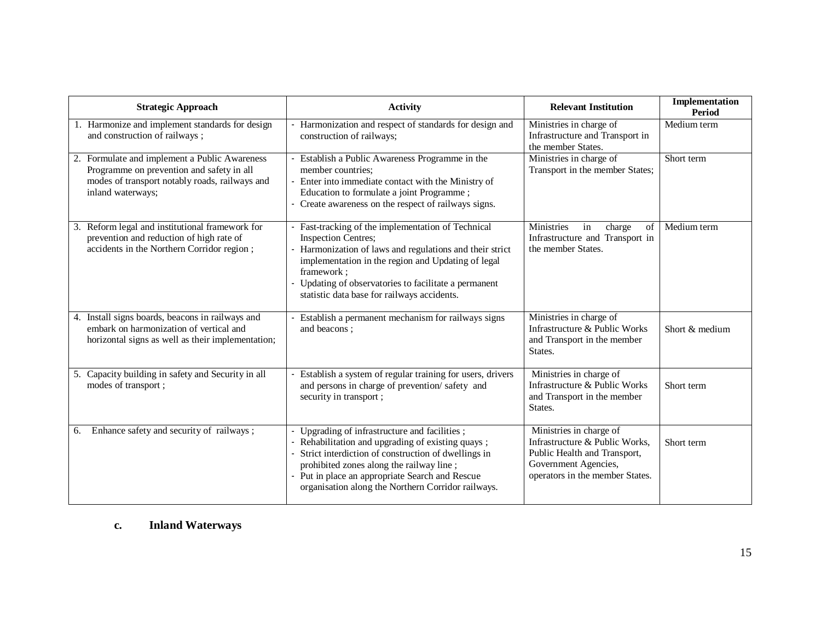| <b>Strategic Approach</b>                                                                                                                                         | <b>Activity</b>                                                                                                                                                                                                                                                                                                    | <b>Relevant Institution</b>                                                                                                                          | Implementation<br>Period |
|-------------------------------------------------------------------------------------------------------------------------------------------------------------------|--------------------------------------------------------------------------------------------------------------------------------------------------------------------------------------------------------------------------------------------------------------------------------------------------------------------|------------------------------------------------------------------------------------------------------------------------------------------------------|--------------------------|
| 1. Harmonize and implement standards for design<br>and construction of railways;                                                                                  | Harmonization and respect of standards for design and<br>construction of railways;                                                                                                                                                                                                                                 | Ministries in charge of<br>Infrastructure and Transport in<br>the member States.                                                                     | Medium term              |
| 2. Formulate and implement a Public Awareness<br>Programme on prevention and safety in all<br>modes of transport notably roads, railways and<br>inland waterways; | Establish a Public Awareness Programme in the<br>member countries:<br>Enter into immediate contact with the Ministry of<br>Education to formulate a joint Programme;<br>Create awareness on the respect of railways signs.                                                                                         | Ministries in charge of<br>Transport in the member States;                                                                                           | Short term               |
| 3. Reform legal and institutional framework for<br>prevention and reduction of high rate of<br>accidents in the Northern Corridor region;                         | Fast-tracking of the implementation of Technical<br><b>Inspection Centres;</b><br>Harmonization of laws and regulations and their strict<br>implementation in the region and Updating of legal<br>framework:<br>Updating of observatories to facilitate a permanent<br>statistic data base for railways accidents. | <b>Ministries</b><br>in<br>charge<br>of<br>Infrastructure and Transport in<br>the member States.                                                     | Medium term              |
| 4. Install signs boards, beacons in railways and<br>embark on harmonization of vertical and<br>horizontal signs as well as their implementation;                  | Establish a permanent mechanism for railways signs<br>and beacons;                                                                                                                                                                                                                                                 | Ministries in charge of<br>Infrastructure & Public Works<br>and Transport in the member<br>States.                                                   | Short & medium           |
| 5. Capacity building in safety and Security in all<br>modes of transport;                                                                                         | Establish a system of regular training for users, drivers<br>and persons in charge of prevention/safety and<br>security in transport;                                                                                                                                                                              | Ministries in charge of<br>Infrastructure & Public Works<br>and Transport in the member<br>States.                                                   | Short term               |
| Enhance safety and security of railways;<br>6.                                                                                                                    | Upgrading of infrastructure and facilities;<br>- Rehabilitation and upgrading of existing quays;<br>Strict interdiction of construction of dwellings in<br>prohibited zones along the railway line;<br>Put in place an appropriate Search and Rescue<br>organisation along the Northern Corridor railways.         | Ministries in charge of<br>Infrastructure & Public Works,<br>Public Health and Transport,<br>Government Agencies,<br>operators in the member States. | Short term               |

### **c. Inland Waterways**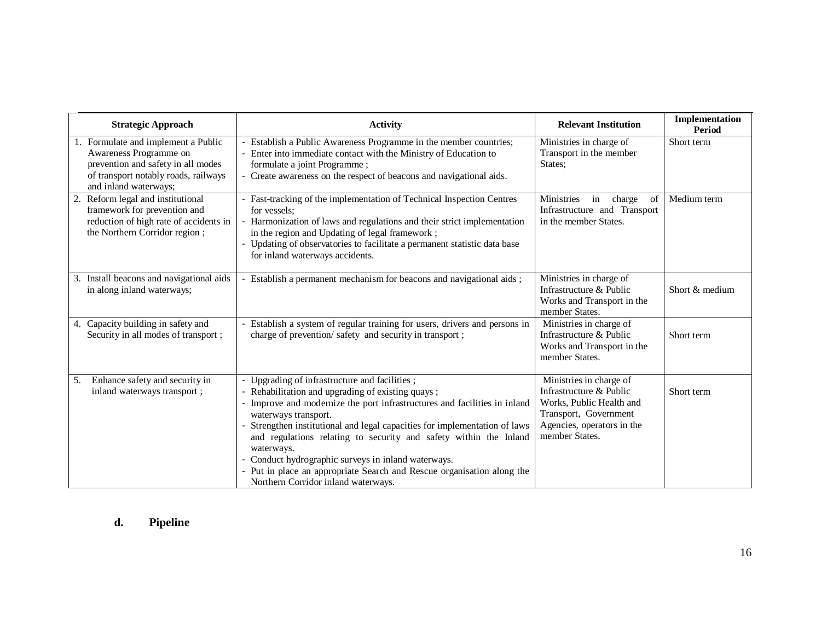|    | <b>Strategic Approach</b>                                                                                                                                            | <b>Activity</b>                                                                                                                                                                                                                                                                                                                                                                                                                                                                                                                      | <b>Relevant Institution</b>                                                                                                                             | Implementation<br>Period |
|----|----------------------------------------------------------------------------------------------------------------------------------------------------------------------|--------------------------------------------------------------------------------------------------------------------------------------------------------------------------------------------------------------------------------------------------------------------------------------------------------------------------------------------------------------------------------------------------------------------------------------------------------------------------------------------------------------------------------------|---------------------------------------------------------------------------------------------------------------------------------------------------------|--------------------------|
|    | 1. Formulate and implement a Public<br>Awareness Programme on<br>prevention and safety in all modes<br>of transport notably roads, railways<br>and inland waterways; | Establish a Public Awareness Programme in the member countries;<br>Enter into immediate contact with the Ministry of Education to<br>formulate a joint Programme;<br>Create awareness on the respect of beacons and navigational aids.                                                                                                                                                                                                                                                                                               | Ministries in charge of<br>Transport in the member<br>States:                                                                                           | Short term               |
|    | 2. Reform legal and institutional<br>framework for prevention and<br>reduction of high rate of accidents in<br>the Northern Corridor region;                         | Fast-tracking of the implementation of Technical Inspection Centres<br>for vessels:<br>Harmonization of laws and regulations and their strict implementation<br>in the region and Updating of legal framework;<br>Updating of observatories to facilitate a permanent statistic data base<br>for inland waterways accidents.                                                                                                                                                                                                         | Ministries<br>charge<br>of<br>in<br>Infrastructure and Transport<br>in the member States.                                                               | Medium term              |
|    | 3. Install beacons and navigational aids<br>in along inland waterways;                                                                                               | Establish a permanent mechanism for beacons and navigational aids;                                                                                                                                                                                                                                                                                                                                                                                                                                                                   | Ministries in charge of<br>Infrastructure & Public<br>Works and Transport in the<br>member States.                                                      | Short & medium           |
|    | 4. Capacity building in safety and<br>Security in all modes of transport;                                                                                            | Establish a system of regular training for users, drivers and persons in<br>charge of prevention/safety and security in transport;                                                                                                                                                                                                                                                                                                                                                                                                   | Ministries in charge of<br>Infrastructure & Public<br>Works and Transport in the<br>member States.                                                      | Short term               |
| 5. | Enhance safety and security in<br>inland waterways transport;                                                                                                        | Upgrading of infrastructure and facilities;<br>Rehabilitation and upgrading of existing quays;<br>Improve and modernize the port infrastructures and facilities in inland<br>waterways transport.<br>Strengthen institutional and legal capacities for implementation of laws<br>and regulations relating to security and safety within the Inland<br>waterways.<br>Conduct hydrographic surveys in inland waterways.<br>Put in place an appropriate Search and Rescue organisation along the<br>Northern Corridor inland waterways. | Ministries in charge of<br>Infrastructure & Public<br>Works, Public Health and<br>Transport, Government<br>Agencies, operators in the<br>member States. | Short term               |

# **d. Pipeline**